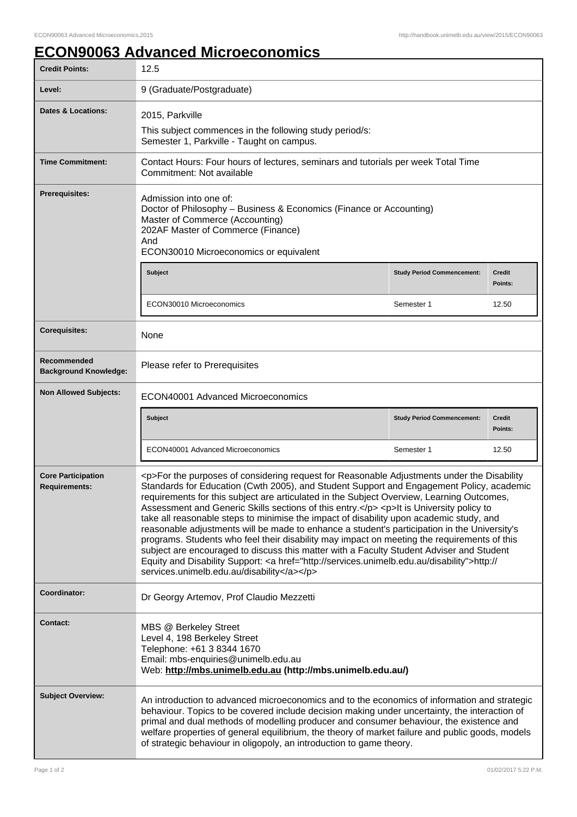## **ECON90063 Advanced Microeconomics**

| <b>Credit Points:</b>                             | 12.5                                                                                                                                                                                                                                                                                                                                                                                                                                                                                                                                                                                                                                                                                                                                                                                                                                                                                                                         |                                   |                          |
|---------------------------------------------------|------------------------------------------------------------------------------------------------------------------------------------------------------------------------------------------------------------------------------------------------------------------------------------------------------------------------------------------------------------------------------------------------------------------------------------------------------------------------------------------------------------------------------------------------------------------------------------------------------------------------------------------------------------------------------------------------------------------------------------------------------------------------------------------------------------------------------------------------------------------------------------------------------------------------------|-----------------------------------|--------------------------|
| Level:                                            | 9 (Graduate/Postgraduate)                                                                                                                                                                                                                                                                                                                                                                                                                                                                                                                                                                                                                                                                                                                                                                                                                                                                                                    |                                   |                          |
| Dates & Locations:                                | 2015, Parkville<br>This subject commences in the following study period/s:<br>Semester 1, Parkville - Taught on campus.                                                                                                                                                                                                                                                                                                                                                                                                                                                                                                                                                                                                                                                                                                                                                                                                      |                                   |                          |
| <b>Time Commitment:</b>                           | Contact Hours: Four hours of lectures, seminars and tutorials per week Total Time<br>Commitment: Not available                                                                                                                                                                                                                                                                                                                                                                                                                                                                                                                                                                                                                                                                                                                                                                                                               |                                   |                          |
| <b>Prerequisites:</b>                             | Admission into one of:<br>Doctor of Philosophy - Business & Economics (Finance or Accounting)<br>Master of Commerce (Accounting)<br>202AF Master of Commerce (Finance)<br>And<br>ECON30010 Microeconomics or equivalent                                                                                                                                                                                                                                                                                                                                                                                                                                                                                                                                                                                                                                                                                                      |                                   |                          |
|                                                   | <b>Subject</b>                                                                                                                                                                                                                                                                                                                                                                                                                                                                                                                                                                                                                                                                                                                                                                                                                                                                                                               | <b>Study Period Commencement:</b> | <b>Credit</b><br>Points: |
|                                                   | ECON30010 Microeconomics                                                                                                                                                                                                                                                                                                                                                                                                                                                                                                                                                                                                                                                                                                                                                                                                                                                                                                     | Semester 1                        | 12.50                    |
| <b>Corequisites:</b>                              | None                                                                                                                                                                                                                                                                                                                                                                                                                                                                                                                                                                                                                                                                                                                                                                                                                                                                                                                         |                                   |                          |
| Recommended<br><b>Background Knowledge:</b>       | Please refer to Prerequisites                                                                                                                                                                                                                                                                                                                                                                                                                                                                                                                                                                                                                                                                                                                                                                                                                                                                                                |                                   |                          |
| <b>Non Allowed Subjects:</b>                      | ECON40001 Advanced Microeconomics                                                                                                                                                                                                                                                                                                                                                                                                                                                                                                                                                                                                                                                                                                                                                                                                                                                                                            |                                   |                          |
|                                                   | <b>Subject</b>                                                                                                                                                                                                                                                                                                                                                                                                                                                                                                                                                                                                                                                                                                                                                                                                                                                                                                               | <b>Study Period Commencement:</b> | <b>Credit</b><br>Points: |
|                                                   | ECON40001 Advanced Microeconomics                                                                                                                                                                                                                                                                                                                                                                                                                                                                                                                                                                                                                                                                                                                                                                                                                                                                                            | Semester 1                        | 12.50                    |
| <b>Core Participation</b><br><b>Requirements:</b> | <p>For the purposes of considering request for Reasonable Adjustments under the Disability<br/>Standards for Education (Cwth 2005), and Student Support and Engagement Policy, academic<br/>requirements for this subject are articulated in the Subject Overview, Learning Outcomes,<br/>Assessment and Generic Skills sections of this entry.</p> <p>lt is University policy to<br/>take all reasonable steps to minimise the impact of disability upon academic study, and<br/>reasonable adjustments will be made to enhance a student's participation in the University's<br/>programs. Students who feel their disability may impact on meeting the requirements of this<br/>subject are encouraged to discuss this matter with a Faculty Student Adviser and Student<br/>Equity and Disability Support: &lt; a href="http://services.unimelb.edu.au/disability"&gt;http://<br/>services.unimelb.edu.au/disability</p> |                                   |                          |
| Coordinator:                                      | Dr Georgy Artemov, Prof Claudio Mezzetti                                                                                                                                                                                                                                                                                                                                                                                                                                                                                                                                                                                                                                                                                                                                                                                                                                                                                     |                                   |                          |
| <b>Contact:</b>                                   | MBS @ Berkeley Street<br>Level 4, 198 Berkeley Street<br>Telephone: +61 3 8344 1670<br>Email: mbs-enquiries@unimelb.edu.au<br>Web: http://mbs.unimelb.edu.au (http://mbs.unimelb.edu.au/)                                                                                                                                                                                                                                                                                                                                                                                                                                                                                                                                                                                                                                                                                                                                    |                                   |                          |
| <b>Subject Overview:</b>                          | An introduction to advanced microeconomics and to the economics of information and strategic<br>behaviour. Topics to be covered include decision making under uncertainty, the interaction of<br>primal and dual methods of modelling producer and consumer behaviour, the existence and<br>welfare properties of general equilibrium, the theory of market failure and public goods, models<br>of strategic behaviour in oligopoly, an introduction to game theory.                                                                                                                                                                                                                                                                                                                                                                                                                                                         |                                   |                          |